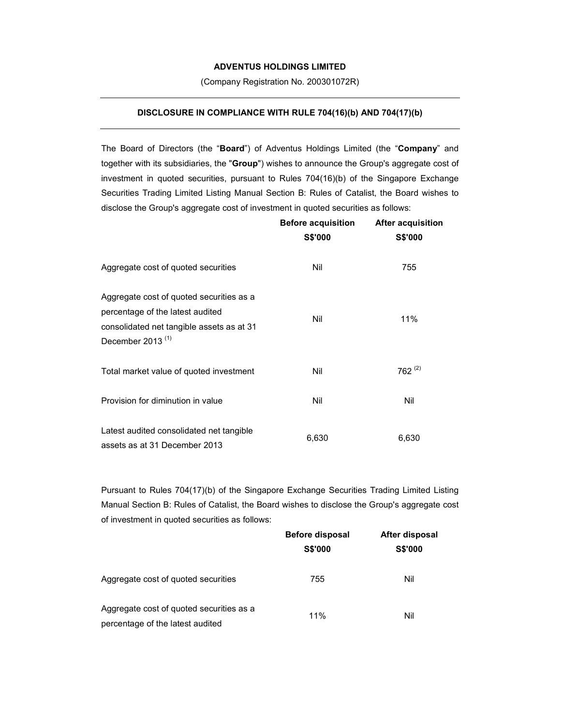## **ADVENTUS HOLDINGS LIMITED**

(Company Registration No. 200301072R)

## **DISCLOSURE IN COMPLIANCE WITH RULE 704(16)(b) AND 704(17)(b)**

The Board of Directors (the "**Board**") of Adventus Holdings Limited (the "**Company**" and together with its subsidiaries, the "**Group**") wishes to announce the Group's aggregate cost of investment in quoted securities, pursuant to Rules 704(16)(b) of the Singapore Exchange Securities Trading Limited Listing Manual Section B: Rules of Catalist, the Board wishes to disclose the Group's aggregate cost of investment in quoted securities as follows:

|                                                                                                                                                  | <b>Before acquisition</b><br><b>S\$'000</b> | <b>After acquisition</b><br><b>S\$'000</b> |
|--------------------------------------------------------------------------------------------------------------------------------------------------|---------------------------------------------|--------------------------------------------|
| Aggregate cost of quoted securities                                                                                                              | Nil                                         | 755                                        |
| Aggregate cost of quoted securities as a<br>percentage of the latest audited<br>consolidated net tangible assets as at 31<br>December 2013 $(1)$ | Nil                                         | 11%                                        |
| Total market value of quoted investment                                                                                                          | Nil                                         | 762 $(2)$                                  |
| Provision for diminution in value                                                                                                                | Nil                                         | Nil                                        |
| Latest audited consolidated net tangible<br>assets as at 31 December 2013                                                                        | 6,630                                       | 6,630                                      |

Pursuant to Rules 704(17)(b) of the Singapore Exchange Securities Trading Limited Listing Manual Section B: Rules of Catalist, the Board wishes to disclose the Group's aggregate cost of investment in quoted securities as follows:

|                                                                              | <b>Before disposal</b><br><b>S\$'000</b> | After disposal<br><b>S\$'000</b> |
|------------------------------------------------------------------------------|------------------------------------------|----------------------------------|
|                                                                              |                                          |                                  |
| Aggregate cost of quoted securities                                          | 755                                      | Nil                              |
| Aggregate cost of quoted securities as a<br>percentage of the latest audited | 11%                                      | Nil                              |